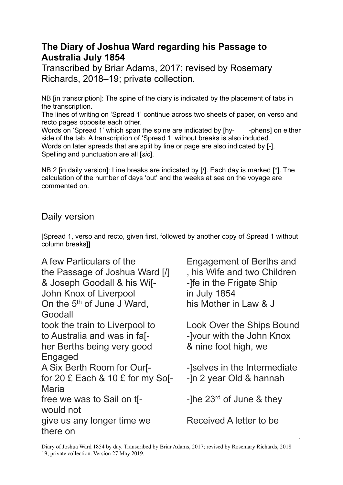## **The Diary of Joshua Ward regarding his Passage to Australia July 1854**

Transcribed by Briar Adams, 2017; revised by Rosemary Richards, 2018–19; private collection.

NB [in transcription]: The spine of the diary is indicated by the placement of tabs in the transcription.

The lines of writing on 'Spread 1' continue across two sheets of paper, on verso and recto pages opposite each other.

Words on 'Spread 1' which span the spine are indicated by [hy- --phens] on either side of the tab. A transcription of 'Spread 1' without breaks is also included. Words on later spreads that are split by line or page are also indicated by [-]. Spelling and punctuation are all [*sic*].

NB 2 [in daily version]: Line breaks are indicated by [/]. Each day is marked [<sup>\*</sup>]. The calculation of the number of days 'out' and the weeks at sea on the voyage are commented on.

## Daily version

[Spread 1, verso and recto, given first, followed by another copy of Spread 1 without column breaks]]

| A few Particulars of the<br>the Passage of Joshua Ward [/]<br>& Joseph Goodall & his Wi[-<br>John Knox of Liverpool<br>On the 5 <sup>th</sup> of June J Ward,<br>Goodall | <b>Engagement of Berths and</b><br>, his Wife and two Children<br>-Ife in the Frigate Ship<br>in July 1854<br>his Mother in Law & J |
|--------------------------------------------------------------------------------------------------------------------------------------------------------------------------|-------------------------------------------------------------------------------------------------------------------------------------|
| took the train to Liverpool to<br>to Australia and was in fa[-<br>her Berths being very good<br><b>Engaged</b>                                                           | <b>Look Over the Ships Bound</b><br>-Jyour with the John Knox<br>& nine foot high, we                                               |
| A Six Berth Room for Our[-<br>for 20 £ Each $& 10 & 2$ for my So[-<br><b>Maria</b>                                                                                       | -selves in the Intermediate<br>-In 2 year Old & hannah                                                                              |
| free we was to Sail on th-<br>would not                                                                                                                                  | -The $23^{rd}$ of June & they                                                                                                       |
| give us any longer time we<br>there on                                                                                                                                   | Received A letter to be                                                                                                             |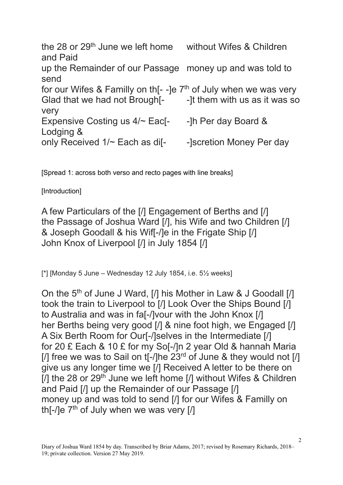the 28 or 29<sup>th</sup> June we left home without Wifes & Children and Paid up the Remainder of our Passage money up and was told to send for our Wifes & Familly on th  $I$ -le  $7<sup>th</sup>$  of July when we was very Glad that we had not Brough<sup>[-</sup> -1t them with us as it was so very Expensive Costing us  $4/-$  Eac[-  $-$ ]h Per day Board & Lodging & only Received 1/~ Each as dif-<br>- lscretion Money Per day

[Spread 1: across both verso and recto pages with line breaks]

[Introduction]

A few Particulars of the [/] Engagement of Berths and [/] the Passage of Joshua Ward [/], his Wife and two Children [/] & Joseph Goodall & his Wif[-/]e in the Frigate Ship [/] John Knox of Liverpool [/] in July 1854 [/]

 $\lceil$ \*] [Monday 5 June – Wednesday 12 July 1854, i.e. 5 $\frac{1}{2}$  weeks]

On the 5<sup>th</sup> of June J Ward, [/] his Mother in Law & J Goodall [/] took the train to Liverpool to [/] Look Over the Ships Bound [/] to Australia and was in fa[-/]vour with the John Knox [/] her Berths being very good [/] & nine foot high, we Engaged [/] A Six Berth Room for Our[-/]selves in the Intermediate [/] for 20 £ Each & 10 £ for my So[-/]n 2 year Old & hannah Maria [/] free we was to Sail on  $t$ [-/]he  $23<sup>rd</sup>$  of June & they would not [/] give us any longer time we [/] Received A letter to be there on [ $/$ ] the 28 or 29<sup>th</sup> June we left home [ $/$ ] without Wifes & Children and Paid [/] up the Remainder of our Passage [/] money up and was told to send [/] for our Wifes & Familly on th[- $\sqrt{e}$  7<sup>th</sup> of July when we was very [ $\sqrt{ }$ ]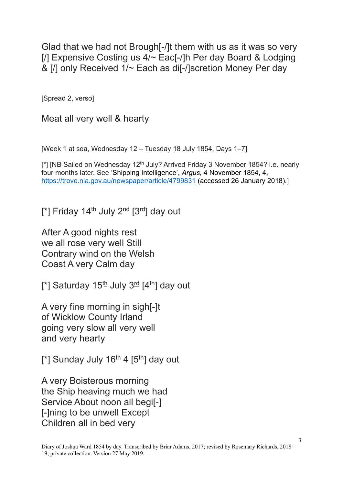Glad that we had not Brough[-/]t them with us as it was so very [/] Expensive Costing us 4/~ Eac[-/]h Per day Board & Lodging & [/] only Received 1/~ Each as di[-/]scretion Money Per day

[Spread 2, verso]

Meat all very well & hearty

[Week 1 at sea, Wednesday 12 – Tuesday 18 July 1854, Days 1–7]

[\*] [NB Sailed on Wednesday 12<sup>th</sup> July? Arrived Friday 3 November 1854? i.e. nearly four months later. See 'Shipping Intelligence', *Argus*, 4 November 1854, 4, <https://trove.nla.gov.au/newspaper/article/4799831> (accessed 26 January 2018).]

 $[^*]$  Friday 14<sup>th</sup> July 2<sup>nd</sup>  $[^3"$ day out

After A good nights rest we all rose very well Still Contrary wind on the Welsh Coast A very Calm day

 $[$ \*] Saturday 15<sup>th</sup> July 3<sup>rd</sup>  $[4<sup>th</sup>]$  day out

A very fine morning in sigh[-]t of Wicklow County Irland going very slow all very well and very hearty

[\*] Sunday July  $16<sup>th</sup>$  4 [5<sup>th</sup>] day out

A very Boisterous morning the Ship heaving much we had Service About noon all begi[-] [-]ning to be unwell Except Children all in bed very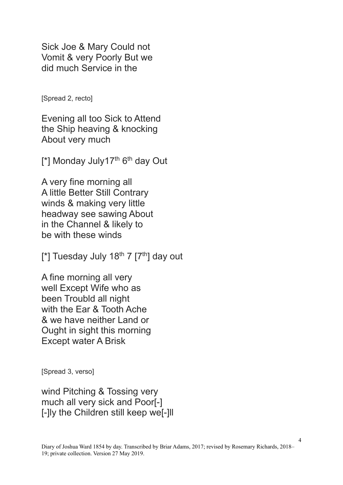Sick Joe & Mary Could not Vomit & very Poorly But we did much Service in the

[Spread 2, recto]

Evening all too Sick to Attend the Ship heaving & knocking About very much

[\*] Monday July17<sup>th</sup> 6<sup>th</sup> day Out

A very fine morning all A little Better Still Contrary winds & making very little headway see sawing About in the Channel & likely to be with these winds

[\*] Tuesday July 18<sup>th</sup> 7  $[7<sup>th</sup>]$  day out

A fine morning all very well Except Wife who as been Troubld all night with the Ear & Tooth Ache & we have neither Land or Ought in sight this morning Except water A Brisk

[Spread 3, verso]

wind Pitching & Tossing very much all very sick and Poor[-] [-]ly the Children still keep we[-]ll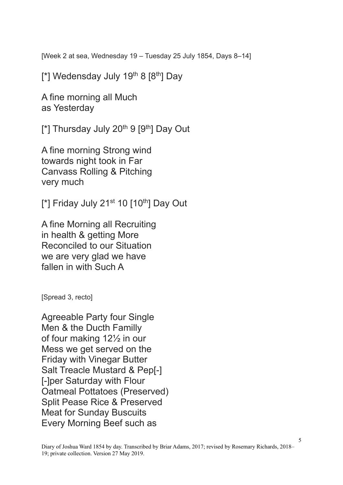[Week 2 at sea, Wednesday 19 – Tuesday 25 July 1854, Days 8–14]

[\*] Wedensday July 19<sup>th</sup> 8  $[8<sup>th</sup>]$  Day

A fine morning all Much as Yesterday

 $[$ \*] Thursday July 20<sup>th</sup> 9  $[9<sup>th</sup>]$  Day Out

A fine morning Strong wind towards night took in Far Canvass Rolling & Pitching very much

 $[$ \*] Friday July 21<sup>st</sup> 10  $[10<sup>th</sup>]$  Day Out

A fine Morning all Recruiting in health & getting More Reconciled to our Situation we are very glad we have fallen in with Such A

[Spread 3, recto]

Agreeable Party four Single Men & the Ducth Familly of four making 12½ in our Mess we get served on the Friday with Vinegar Butter Salt Treacle Mustard & Pep[-] [-]per Saturday with Flour Oatmeal Pottatoes (Preserved) Split Pease Rice & Preserved Meat for Sunday Buscuits Every Morning Beef such as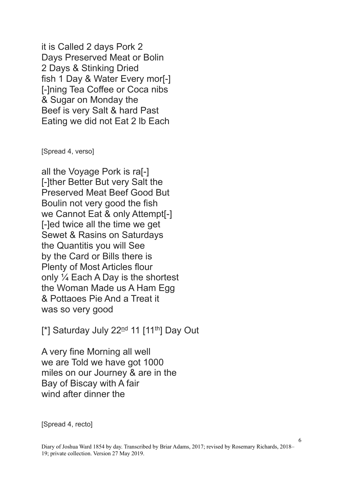it is Called 2 days Pork 2 Days Preserved Meat or Bolin 2 Days & Stinking Dried fish 1 Day & Water Every mor[-] [-]ning Tea Coffee or Coca nibs & Sugar on Monday the Beef is very Salt & hard Past Eating we did not Eat 2 lb Each

[Spread 4, verso]

all the Voyage Pork is ra[-] [-]ther Better But very Salt the Preserved Meat Beef Good But Boulin not very good the fish we Cannot Eat & only Attempt[-] [-]ed twice all the time we get Sewet & Rasins on Saturdays the Quantitis you will See by the Card or Bills there is Plenty of Most Articles flour only ¼ Each A Day is the shortest the Woman Made us A Ham Egg & Pottaoes Pie And a Treat it was so very good

[\*] Saturday July  $22<sup>nd</sup>$  11 [11<sup>th</sup>] Day Out

A very fine Morning all well we are Told we have got 1000 miles on our Journey & are in the Bay of Biscay with A fair wind after dinner the

[Spread 4, recto]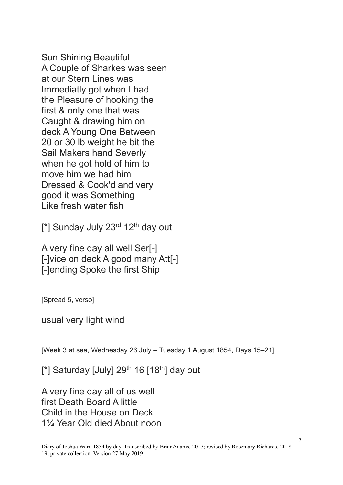Sun Shining Beautiful A Couple of Sharkes was seen at our Stern Lines was Immediatly got when I had the Pleasure of hooking the first & only one that was Caught & drawing him on deck A Young One Between 20 or 30 lb weight he bit the Sail Makers hand Severly when he got hold of him to move him we had him Dressed & Cook'd and very good it was Something Like fresh water fish

 $[$ \*] Sunday July 23 $\frac{rd}{2}$  12<sup>th</sup> day out

A very fine day all well Ser[-] [-]vice on deck A good many Att[-] [-]ending Spoke the first Ship

[Spread 5, verso]

usual very light wind

[Week 3 at sea, Wednesday 26 July – Tuesday 1 August 1854, Days 15–21]

[\*] Saturday [July]  $29^{th}$  16 [18<sup>th</sup>] day out

A very fine day all of us well first Death Board A little Child in the House on Deck 1¼ Year Old died About noon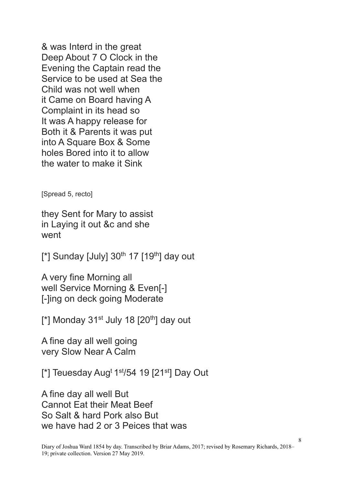& was Interd in the great Deep About 7 O Clock in the Evening the Captain read the Service to be used at Sea the Child was not well when it Came on Board having A Complaint in its head so It was A happy release for Both it & Parents it was put into A Square Box & Some holes Bored into it to allow the water to make it Sink

[Spread 5, recto]

they Sent for Mary to assist in Laying it out &c and she went

 $[$ \*] Sunday [July] 30<sup>th</sup> 17  $[19<sup>th</sup>]$  day out

A very fine Morning all well Service Morning & Even[-] [-]ing on deck going Moderate

 $[$ \*] Monday 31<sup>st</sup> July 18  $[20<sup>th</sup>]$  day out

A fine day all well going very Slow Near A Calm

 $[$ \*] Teuesday Aug<sup>t 1st</sup>/54 19 [21<sup>st</sup>] Day Out

A fine day all well But Cannot Eat their Meat Beef So Salt & hard Pork also But we have had 2 or 3 Peices that was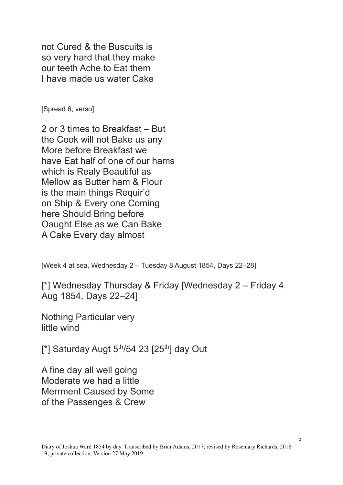not Cured & the Buscuits is so very hard that they make our teeth Ache to Eat them I have made us water Cake

[Spread 6, verso]

2 or 3 times to Breakfast – But the Cook will not Bake us any More before Breakfast we have Eat half of one of our hams which is Realy Beautiful as Mellow as Butter ham & Flour is the main things Requir'd on Ship & Every one Coming here Should Bring before Oaught Else as we Can Bake A Cake Every day almost

[Week 4 at sea, Wednesday 2 – Tuesday 8 August 1854, Days 22–28]

[\*] Wednesday Thursday & Friday [Wednesday 2 – Friday 4 Aug 1854, Days 22–24]

Nothing Particular very little wind

 $[^*]$  Saturday Augt 5<sup>th</sup>/54 23 [25<sup>th</sup>] day Out

A fine day all well going Moderate we had a little Merrment Caused by Some of the Passenges & Crew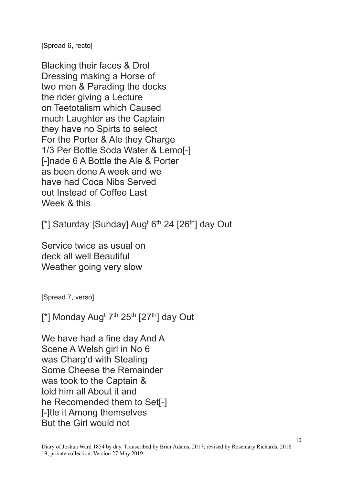[Spread 6, recto]

Blacking their faces & Drol Dressing making a Horse of two men & Parading the docks the rider giving a Lecture on Teetotalism which Caused much Laughter as the Captain they have no Spirts to select For the Porter & Ale they Charge 1/3 Per Bottle Soda Water & Lemo[-] [-]nade 6 A Bottle the Ale & Porter as been done A week and we have had Coca Nibs Served out Instead of Coffee Last Week & this

[\*] Saturday [Sunday] Aug<sup>t 6th</sup> 24 [26<sup>th</sup>] day Out

Service twice as usual on deck all well Beautiful Weather going very slow

[Spread 7, verso]

 $[$ \*] Monday Aug<sup>t 7th</sup> 25<sup>th</sup> [27<sup>th</sup>] day Out

We have had a fine day And A Scene A Welsh girl in No 6 was Charg'd with Stealing Some Cheese the Remainder was took to the Captain & told him all About it and he Recomended them to Set[-] [-]tle it Among themselves But the Girl would not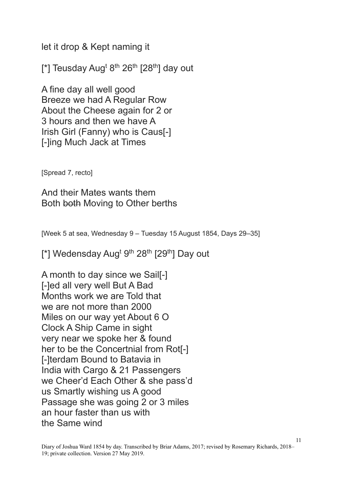let it drop & Kept naming it

[\*] Teusday Aug<sup>t 8th</sup> 26<sup>th</sup> [28<sup>th</sup>] day out

A fine day all well good Breeze we had A Regular Row About the Cheese again for 2 or 3 hours and then we have A Irish Girl (Fanny) who is Caus[-] [-]ing Much Jack at Times

[Spread 7, recto]

And their Mates wants them Both both Moving to Other berths

[Week 5 at sea, Wednesday 9 – Tuesday 15 August 1854, Days 29–35]

[\*] Wedensday Aug<sup>t gth</sup> 28<sup>th</sup> [29<sup>th</sup>] Day out

A month to day since we Sail[-] [-]ed all very well But A Bad Months work we are Told that we are not more than 2000 Miles on our way yet About 6 O Clock A Ship Came in sight very near we spoke her & found her to be the Concertnial from Rot[-] [-]terdam Bound to Batavia in India with Cargo & 21 Passengers we Cheer'd Each Other & she pass'd us Smartly wishing us A good Passage she was going 2 or 3 miles an hour faster than us with the Same wind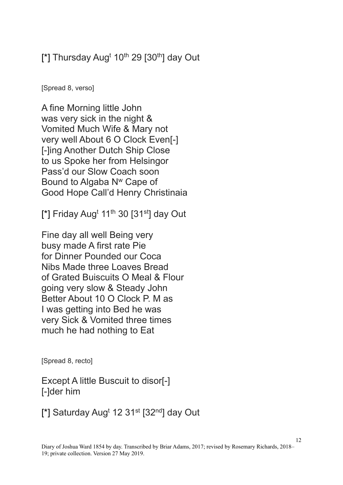## [\*] Thursday Aug<sup>t</sup> 10<sup>th</sup> 29 [30<sup>th</sup>] day Out

[Spread 8, verso]

A fine Morning little John was very sick in the night & Vomited Much Wife & Mary not very well About 6 O Clock Even[-] [-]ing Another Dutch Ship Close to us Spoke her from Helsingor Pass'd our Slow Coach soon Bound to Algaba N<sup>w</sup> Cape of Good Hope Call'd Henry Christinaia

 $[$ \*] Friday Aug<sup>t</sup> 11<sup>th</sup> 30 [31<sup>st</sup>] day Out

Fine day all well Being very busy made A first rate Pie for Dinner Pounded our Coca Nibs Made three Loaves Bread of Grated Buiscuits O Meal & Flour going very slow & Steady John Better About 10 O Clock P. M as I was getting into Bed he was very Sick & Vomited three times much he had nothing to Eat

[Spread 8, recto]

Except A little Buscuit to disor[-] [-]der him

[\*] Saturday Aug<sup>t</sup> 12 31<sup>st</sup> [32<sup>nd</sup>] day Out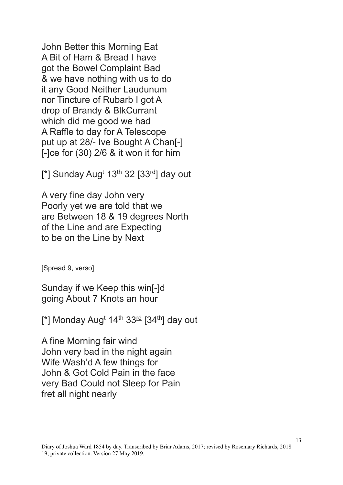John Better this Morning Eat A Bit of Ham & Bread I have got the Bowel Complaint Bad & we have nothing with us to do it any Good Neither Laudunum nor Tincture of Rubarb I got A drop of Brandy & BlkCurrant which did me good we had A Raffle to day for A Telescope put up at 28/- Ive Bought A Chan[-] [-]ce for (30) 2/6 & it won it for him

[\*] Sunday Aug<sup>t</sup> 13<sup>th</sup> 32 [33<sup>rd</sup>] day out

A very fine day John very Poorly yet we are told that we are Between 18 & 19 degrees North of the Line and are Expecting to be on the Line by Next

[Spread 9, verso]

Sunday if we Keep this win[-]d going About 7 Knots an hour

[\*] Monday Aug<sup>t</sup> 14<sup>th</sup> 33<sup>rd</sup> [34<sup>th</sup>] day out

A fine Morning fair wind John very bad in the night again Wife Wash'd A few things for John & Got Cold Pain in the face very Bad Could not Sleep for Pain fret all night nearly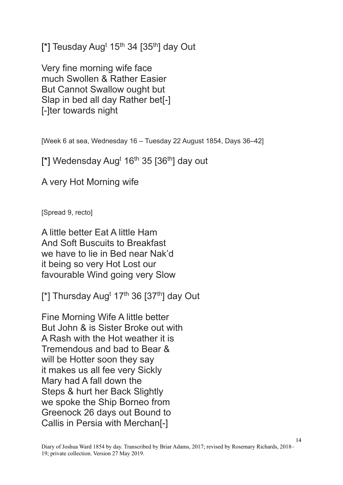[\*] Teusday Aug<sup>t</sup> 15<sup>th</sup> 34 [35<sup>th</sup>] day Out

Very fine morning wife face much Swollen & Rather Easier But Cannot Swallow ought but Slap in bed all day Rather bet[-] [-]ter towards night

[Week 6 at sea, Wednesday 16 – Tuesday 22 August 1854, Days 36–42]

 $[^*]$  Wedensday Aug<sup>t</sup> 16<sup>th</sup> 35  $[36<sup>th</sup>]$  day out

A very Hot Morning wife

[Spread 9, recto]

A little better Eat A little Ham And Soft Buscuits to Breakfast we have to lie in Bed near Nak'd it being so very Hot Lost our favourable Wind going very Slow

[\*] Thursday Aug<sup>t</sup> 17<sup>th</sup> 36 [37<sup>th</sup>] day Out

Fine Morning Wife A little better But John & is Sister Broke out with A Rash with the Hot weather it is Tremendous and bad to Bear & will be Hotter soon they say it makes us all fee very Sickly Mary had A fall down the Steps & hurt her Back Slightly we spoke the Ship Borneo from Greenock 26 days out Bound to Callis in Persia with Merchan[-]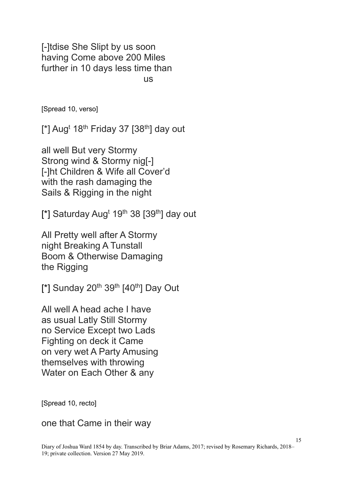[-]tdise She Slipt by us soon having Come above 200 Miles further in 10 days less time than us

[Spread 10, verso]

 $[^*]$  Aug<sup>t</sup> 18<sup>th</sup> Friday 37 [38<sup>th</sup>] day out

all well But very Stormy Strong wind & Stormy nig[-] [-]ht Children & Wife all Cover'd with the rash damaging the Sails & Rigging in the night

[\*] Saturday Aug<sup>t</sup> 19<sup>th</sup> 38 [39<sup>th</sup>] day out

All Pretty well after A Stormy night Breaking A Tunstall Boom & Otherwise Damaging the Rigging

 $[$ \*] Sunday 20<sup>th</sup> 39<sup>th</sup>  $[40<sup>th</sup>]$  Day Out

All well A head ache I have as usual Latly Still Stormy no Service Except two Lads Fighting on deck it Came on very wet A Party Amusing themselves with throwing Water on Each Other & any

[Spread 10, recto]

one that Came in their way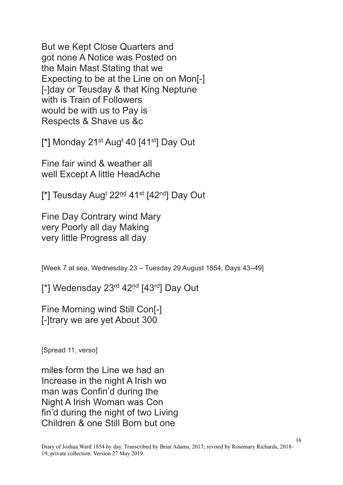But we Kept Close Quarters and got none A Notice was Posted on the Main Mast Stating that we Expecting to be at the Line on on Mon[-] [-]day or Teusday & that King Neptune with is Train of Followers would be with us to Pay is Respects & Shave us &c

 $[$ \*] Monday 21<sup>st</sup> Aug<sup>t</sup> 40  $[41<sup>st</sup>]$  Day Out

Fine fair wind & weather all well Except A little HeadAche

[\*] Teusday Aug<sup>t</sup> 22<sup>nd</sup> 41<sup>st</sup> [42<sup>nd</sup>] Day Out

Fine Day Contrary wind Mary very Poorly all day Making very little Progress all day

[Week 7 at sea, Wednesday 23 – Tuesday 29 August 1854, Days 43–49]

[\*] Wedensday 23<sup>rd</sup> 42<sup>nd</sup> [43<sup>rd</sup>] Day Out

Fine Morning wind Still Con[-] [-]trary we are yet About 300

[Spread 11, verso]

miles form the Line we had an Increase in the night A Irish wo man was Confin'd during the Night A Irish Woman was Con fin'd during the night of two Living Children & one Still Born but one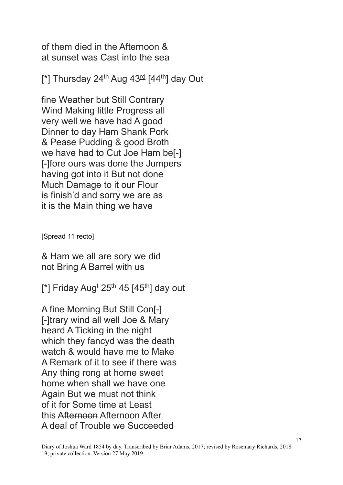of them died in the Afternoon & at sunset was Cast into the sea

[\*] Thursday 24<sup>th</sup> Aug  $43<sup>rd</sup>$  [44<sup>th</sup>] day Out

fine Weather but Still Contrary Wind Making little Progress all very well we have had A good Dinner to day Ham Shank Pork & Pease Pudding & good Broth we have had to Cut Joe Ham be[-] [-]fore ours was done the Jumpers having got into it But not done Much Damage to it our Flour is finish'd and sorry we are as it is the Main thing we have

[Spread 11 recto]

& Ham we all are sory we did not Bring A Barrel with us

 $[^*]$  Friday Aug<sup>t</sup> 25<sup>th</sup> 45  $[45<sup>th</sup>]$  day out

A fine Morning But Still Con[-] [-]trary wind all well Joe & Mary heard A Ticking in the night which they fancyd was the death watch & would have me to Make A Remark of it to see if there was Any thing rong at home sweet home when shall we have one Again But we must not think of it for Some time at Least this Afternoon Afternoon After A deal of Trouble we Succeeded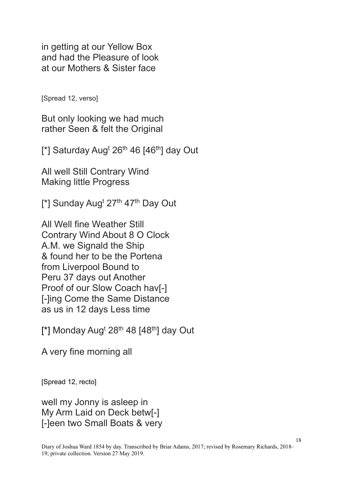in getting at our Yellow Box and had the Pleasure of look at our Mothers & Sister face

[Spread 12, verso]

But only looking we had much rather Seen & felt the Original

 $[$ \*] Saturday Aug<sup>t</sup> 26<sup>th</sup> 46  $[46$ <sup>th</sup>] day Out

All well Still Contrary Wind Making little Progress

[\*] Sunday Aug<sup>t</sup> 27<sup>th</sup> 47<sup>th</sup> Day Out

All Well fine Weather Still Contrary Wind About 8 O Clock A.M. we Signald the Ship & found her to be the Portena from Liverpool Bound to Peru 37 days out Another Proof of our Slow Coach hav[-] [-]ing Come the Same Distance as us in 12 days Less time

[\*] Monday Aug<sup>t</sup> 28<sup>th</sup> 48 [48<sup>th</sup>] day Out

A very fine morning all

[Spread 12, recto]

well my Jonny is asleep in My Arm Laid on Deck betw[-] [-]een two Small Boats & very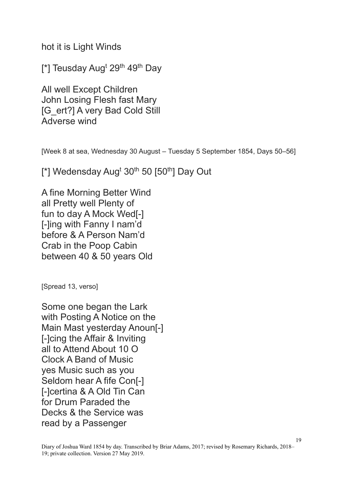hot it is Light Winds

 $[$ \*] Teusday Aug<sup>t</sup> 29<sup>th</sup> 49<sup>th</sup> Day

All well Except Children John Losing Flesh fast Mary [G\_ert?] A very Bad Cold Still Adverse wind

[Week 8 at sea, Wednesday 30 August – Tuesday 5 September 1854, Days 50–56]

 $[^*]$  Wedensday Aug<sup>t</sup> 30<sup>th</sup> 50  $[50^{th}]$  Day Out

A fine Morning Better Wind all Pretty well Plenty of fun to day A Mock Wed[-] [-]ing with Fanny I nam'd before & A Person Nam'd Crab in the Poop Cabin between 40 & 50 years Old

[Spread 13, verso]

Some one began the Lark with Posting A Notice on the Main Mast yesterday Anoun[-] [-]cing the Affair & Inviting all to Attend About 10 O Clock A Band of Music yes Music such as you Seldom hear A fife Con[-] [-]certina & A Old Tin Can for Drum Paraded the Decks & the Service was read by a Passenger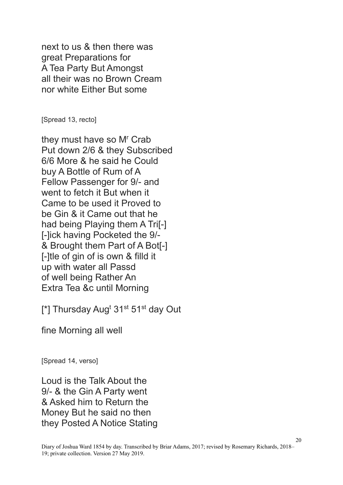next to us & then there was great Preparations for A Tea Party But Amongst all their was no Brown Cream nor white Either But some

[Spread 13, recto]

they must have so M<sup>r</sup> Crab Put down 2/6 & they Subscribed 6/6 More & he said he Could buy A Bottle of Rum of A Fellow Passenger for 9/- and went to fetch it But when it Came to be used it Proved to be Gin & it Came out that he had being Playing them A Tri[-] [-]ick having Pocketed the 9/- & Brought them Part of A Bot[-] [-]tle of gin of is own & filld it up with water all Passd of well being Rather An Extra Tea &c until Morning

[\*] Thursday Aug<sup>t</sup> 31<sup>st</sup> 51<sup>st</sup> day Out

fine Morning all well

[Spread 14, verso]

Loud is the Talk About the 9/- & the Gin A Party went & Asked him to Return the Money But he said no then they Posted A Notice Stating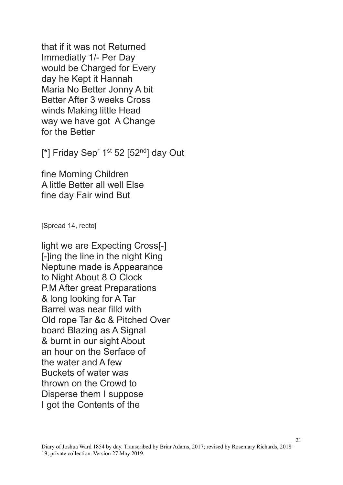that if it was not Returned Immediatly 1/- Per Day would be Charged for Every day he Kept it Hannah Maria No Better Jonny A bit Better After 3 weeks Cross winds Making little Head way we have got A Change for the Better

 $[$ \*] Friday Sep<sup>r</sup> 1<sup>st</sup> 52 [52<sup>nd</sup>] day Out

fine Morning Children A little Better all well Else fine day Fair wind But

[Spread 14, recto]

light we are Expecting Cross[-] [-]ing the line in the night King Neptune made is Appearance to Night About 8 O Clock P.M After great Preparations & long looking for A Tar Barrel was near filld with Old rope Tar &c & Pitched Over board Blazing as A Signal & burnt in our sight About an hour on the Serface of the water and A few Buckets of water was thrown on the Crowd to Disperse them I suppose I got the Contents of the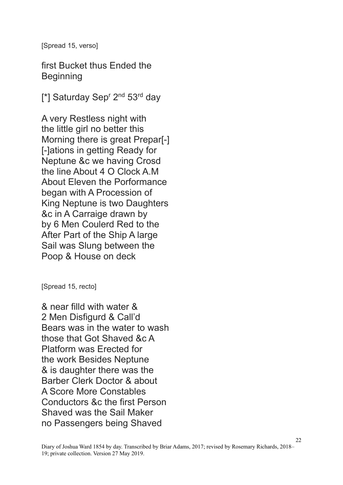[Spread 15, verso]

first Bucket thus Ended the **Beginning** 

[\*] Saturday Sep<sup>r</sup> 2<sup>nd</sup> 53<sup>rd</sup> day

A very Restless night with the little girl no better this Morning there is great Prepar[-] [-]ations in getting Ready for Neptune &c we having Crosd the line About 4 O Clock A.M About Eleven the Porformance began with A Procession of King Neptune is two Daughters &c in A Carraige drawn by by 6 Men Coulerd Red to the After Part of the Ship A large Sail was Slung between the Poop & House on deck

[Spread 15, recto]

& near filld with water & 2 Men Disfigurd & Call'd Bears was in the water to wash those that Got Shaved &c A Platform was Erected for the work Besides Neptune & is daughter there was the Barber Clerk Doctor & about A Score More Constables Conductors &c the first Person Shaved was the Sail Maker no Passengers being Shaved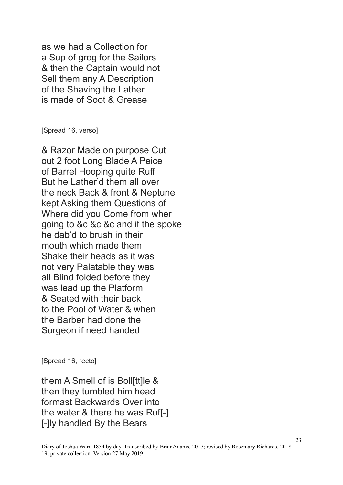as we had a Collection for a Sup of grog for the Sailors & then the Captain would not Sell them any A Description of the Shaving the Lather is made of Soot & Grease

[Spread 16, verso]

& Razor Made on purpose Cut out 2 foot Long Blade A Peice of Barrel Hooping quite Ruff But he Lather'd them all over the neck Back & front & Neptune kept Asking them Questions of Where did you Come from wher going to &c &c &c and if the spoke he dab'd to brush in their mouth which made them Shake their heads as it was not very Palatable they was all Blind folded before they was lead up the Platform & Seated with their back to the Pool of Water & when the Barber had done the Surgeon if need handed

[Spread 16, recto]

them A Smell of is Boll[tt]le & then they tumbled him head formast Backwards Over into the water & there he was Ruf[-] [-]ly handled By the Bears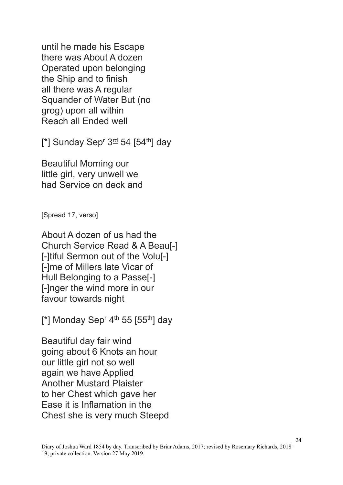until he made his Escape there was About A dozen Operated upon belonging the Ship and to finish all there was A regular Squander of Water But (no grog) upon all within Reach all Ended well

[\*] Sunday Sep<sup>r</sup> 3<sup>rd</sup> 54 [54<sup>th</sup>] day

Beautiful Morning our little girl, very unwell we had Service on deck and

[Spread 17, verso]

About A dozen of us had the Church Service Read & A Beau[-] [-]tiful Sermon out of the Volu[-] [-]me of Millers late Vicar of Hull Belonging to a Passe[-] [-]nger the wind more in our favour towards night

[\*] Monday Sep<sup>r</sup> 4<sup>th</sup> 55 [55<sup>th</sup>] day

Beautiful day fair wind going about 6 Knots an hour our little girl not so well again we have Applied Another Mustard Plaister to her Chest which gave her Ease it is Inflamation in the Chest she is very much Steepd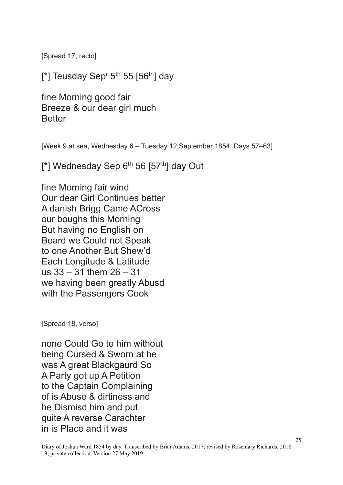[Spread 17, recto]

[\*] Teusday Sep<sup>r</sup> 5<sup>th</sup> 55 [56<sup>th</sup>] day

fine Morning good fair Breeze & our dear girl much **Better** 

[Week 9 at sea, Wednesday 6 – Tuesday 12 September 1854, Days 57–63]

[\*] Wednesday Sep  $6<sup>th</sup> 56$  [57<sup>th</sup>] day Out

fine Morning fair wind Our dear Girl Continues better A danish Brigg Came ACross our boughs this Morning But having no English on Board we Could not Speak to one Another But Shew'd Each Longitude & Latitude us 33 – 31 them 26 – 31 we having been greatly Abusd with the Passengers Cook

[Spread 18, verso]

none Could Go to him without being Cursed & Sworn at he was A great Blackgaurd So A Party got up A Petition to the Captain Complaining of is Abuse & dirtiness and he Dismisd him and put quite A reverse Carachter in is Place and it was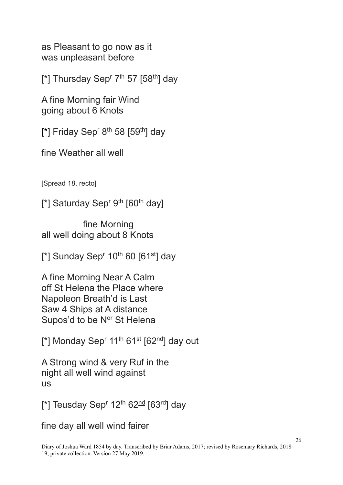as Pleasant to go now as it was unpleasant before

[\*] Thursday Sep<sup>r 7th</sup> 57 [58<sup>th</sup>] day

A fine Morning fair Wind going about 6 Knots

[\*] Friday Sep<sup>r 8th</sup> 58 [59<sup>th</sup>] day

fine Weather all well

[Spread 18, recto]

[\*] Saturday Sep<sup>r gth</sup>  $[60<sup>th</sup>$  day]

fine Morning all well doing about 8 Knots

 $[$ \*] Sunday Sep<sup>r</sup> 10<sup>th</sup> 60 [61<sup>st</sup>] day

A fine Morning Near A Calm off St Helena the Place where Napoleon Breath'd is Last Saw 4 Ships at A distance Supos'd to be Nor St Helena

 $\lceil$ \*] Monday Sep<sup>r</sup> 11<sup>th</sup> 61<sup>st</sup> [62<sup>nd</sup>] day out

A Strong wind & very Ruf in the night all well wind against us

[\*] Teusday Sep<sup>r</sup> 12<sup>th</sup> 62<sup>nd</sup> [63<sup>rd</sup>] day

fine day all well wind fairer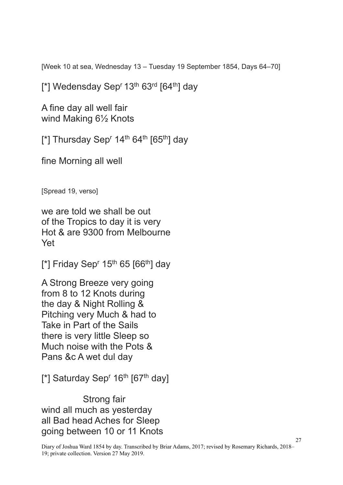[Week 10 at sea, Wednesday 13 – Tuesday 19 September 1854, Days 64–70]

[\*] Wedensday Sep<sup>r</sup> 13<sup>th</sup> 63<sup>rd</sup> [64<sup>th</sup>] day

A fine day all well fair wind Making 6½ Knots

[\*] Thursday Sep<sup>r</sup> 14<sup>th</sup> 64<sup>th</sup> [65<sup>th</sup>] day

fine Morning all well

[Spread 19, verso]

we are told we shall be out of the Tropics to day it is very Hot & are 9300 from Melbourne Yet

 $[^*]$  Friday Sep<sup>r</sup> 15<sup>th</sup> 65  $[66^{th}]$  day

A Strong Breeze very going from 8 to 12 Knots during the day & Night Rolling & Pitching very Much & had to Take in Part of the Sails there is very little Sleep so Much noise with the Pots & Pans &c A wet dul day

[\*] Saturday Sep<sup>r</sup> 16<sup>th</sup> [67<sup>th</sup> day]

Strong fair wind all much as yesterday all Bad head Aches for Sleep going between 10 or 11 Knots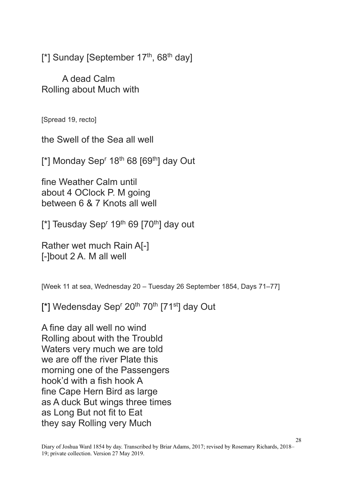[\*] Sunday [September  $17<sup>th</sup>$ , 68<sup>th</sup> day]

A dead Calm Rolling about Much with

[Spread 19, recto]

the Swell of the Sea all well

 $[^*]$  Monday Sep<sup>r</sup> 18<sup>th</sup> 68  $[69<sup>th</sup>]$  day Out

fine Weather Calm until about 4 OClock P. M going between 6 & 7 Knots all well

 $[$ \*] Teusday Sep<sup>r</sup> 19<sup>th</sup> 69  $[70^{th}]$  day out

Rather wet much Rain A[-] [-]bout 2 A. M all well

[Week 11 at sea, Wednesday 20 – Tuesday 26 September 1854, Days 71–77]

[\*] Wedensday Sep<sup>r</sup> 20<sup>th</sup> 70<sup>th</sup> [71<sup>st</sup>] day Out

A fine day all well no wind Rolling about with the Troubld Waters very much we are told we are off the river Plate this morning one of the Passengers hook'd with a fish hook A fine Cape Hern Bird as large as A duck But wings three times as Long But not fit to Eat they say Rolling very Much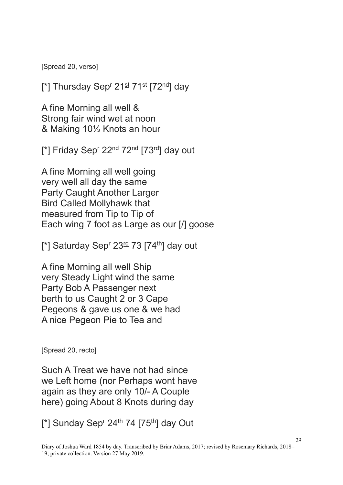[Spread 20, verso]

[\*] Thursday Sep<sup>r</sup> 21<sup>st</sup> 71<sup>st</sup> [72<sup>nd</sup>] day

A fine Morning all well & Strong fair wind wet at noon & Making 10½ Knots an hour

[\*] Friday Sep<sup>r</sup> 22<sup>nd</sup> 72<sup>nd</sup> [73<sup>rd</sup>] day out

A fine Morning all well going very well all day the same Party Caught Another Larger Bird Called Mollyhawk that measured from Tip to Tip of Each wing 7 foot as Large as our [/] goose

 $[$ \*] Saturday Sep<sup>r</sup> 23<sup>rd</sup> 73 [74<sup>th</sup>] day out

A fine Morning all well Ship very Steady Light wind the same Party Bob A Passenger next berth to us Caught 2 or 3 Cape Pegeons & gave us one & we had A nice Pegeon Pie to Tea and

[Spread 20, recto]

Such A Treat we have not had since we Left home (nor Perhaps wont have again as they are only 10/- A Couple here) going About 8 Knots during day

 $[$ \*] Sunday Sep<sup>r</sup> 24<sup>th</sup> 74  $[75<sup>th</sup>]$  day Out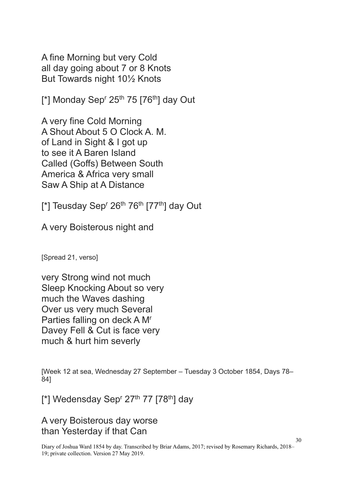A fine Morning but very Cold all day going about 7 or 8 Knots But Towards night 10½ Knots

 $[$ \*] Monday Sep<sup>r</sup> 25<sup>th</sup> 75  $[76$ <sup>th</sup>] day Out

A very fine Cold Morning A Shout About 5 O Clock A. M. of Land in Sight & I got up to see it A Baren Island Called (Goffs) Between South America & Africa very small Saw A Ship at A Distance

[\*] Teusday Sep<sup>r</sup> 26<sup>th</sup> 76<sup>th</sup> [77<sup>th</sup>] day Out

A very Boisterous night and

[Spread 21, verso]

very Strong wind not much Sleep Knocking About so very much the Waves dashing Over us very much Several Parties falling on deck A M<sup>r</sup> Davey Fell & Cut is face very much & hurt him severly

[Week 12 at sea, Wednesday 27 September – Tuesday 3 October 1854, Days 78– 84]

 $[^*]$  Wedensday Sep<sup>r</sup> 27<sup>th</sup> 77  $[78^{th}]$  day

A very Boisterous day worse than Yesterday if that Can

Diary of Joshua Ward 1854 by day. Transcribed by Briar Adams, 2017; revised by Rosemary Richards, 2018– 19; private collection. Version 27 May 2019.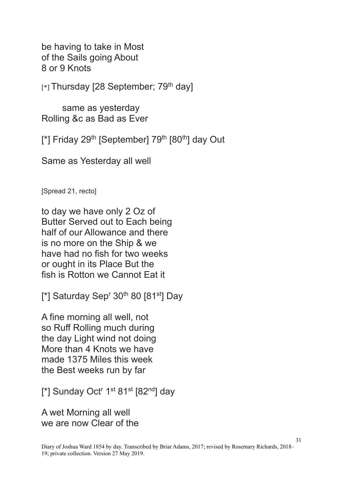be having to take in Most of the Sails going About 8 or 9 Knots

 $[*]$  Thursday [28 September; 79<sup>th</sup> day]

same as yesterday Rolling &c as Bad as Ever

[\*] Friday 29<sup>th</sup> [September] 79<sup>th</sup> [80<sup>th</sup>] day Out

Same as Yesterday all well

[Spread 21, recto]

to day we have only 2 Oz of Butter Served out to Each being half of our Allowance and there is no more on the Ship & we have had no fish for two weeks or ought in its Place But the fish is Rotton we Cannot Eat it

[ $*$ ] Saturday Sep<sup>r</sup> 30<sup>th</sup> 80 [81<sup>st</sup>] Day

A fine morning all well, not so Ruff Rolling much during the day Light wind not doing More than 4 Knots we have made 1375 Miles this week the Best weeks run by far

[\*] Sunday Oct<sup>r</sup> 1<sup>st</sup> 81<sup>st</sup> [82<sup>nd</sup>] day

A wet Morning all well we are now Clear of the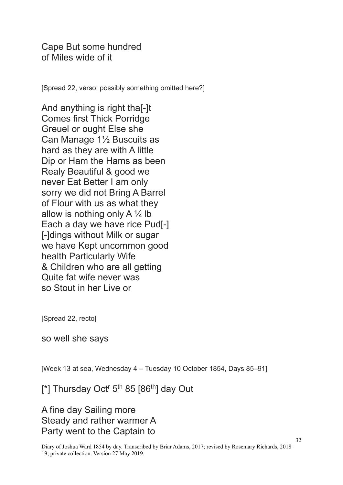Cape But some hundred of Miles wide of it

[Spread 22, verso; possibly something omitted here?]

And anything is right tha[-]t Comes first Thick Porridge Greuel or ought Else she Can Manage 1½ Buscuits as hard as they are with A little Dip or Ham the Hams as been Realy Beautiful & good we never Eat Better I am only sorry we did not Bring A Barrel of Flour with us as what they allow is nothing only A  $\frac{1}{4}$  lb Each a day we have rice Pud[-] [-]dings without Milk or sugar we have Kept uncommon good health Particularly Wife & Children who are all getting Quite fat wife never was so Stout in her Live or

[Spread 22, recto]

so well she says

[Week 13 at sea, Wednesday 4 – Tuesday 10 October 1854, Days 85–91]

 $[$ \*] Thursday Oct<sup>r</sup> 5<sup>th</sup> 85  $[86$ <sup>th</sup>] day Out

A fine day Sailing more Steady and rather warmer A Party went to the Captain to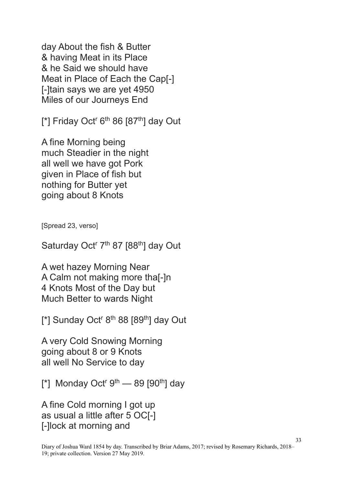day About the fish & Butter & having Meat in its Place & he Said we should have Meat in Place of Each the Cap[-] [-]tain says we are yet 4950 Miles of our Journeys End

 $[$ \*] Friday Oct<sup>r</sup> 6<sup>th</sup> 86  $[87<sup>th</sup>]$  day Out

A fine Morning being much Steadier in the night all well we have got Pork given in Place of fish but nothing for Butter yet going about 8 Knots

[Spread 23, verso]

Saturday Oct<sup>r</sup> 7<sup>th</sup> 87 [88<sup>th</sup>] day Out

A wet hazey Morning Near A Calm not making more tha[-]n 4 Knots Most of the Day but Much Better to wards Night

 $[$ \*] Sunday Oct<sup>r 8th</sup> 88  $[89<sup>th</sup>]$  day Out

A very Cold Snowing Morning going about 8 or 9 Knots all well No Service to day

 $[$ \*] Monday Oct<sup>r gth</sup> — 89  $[90<sup>th</sup>]$  day

A fine Cold morning I got up as usual a little after 5 OC[-] [-]lock at morning and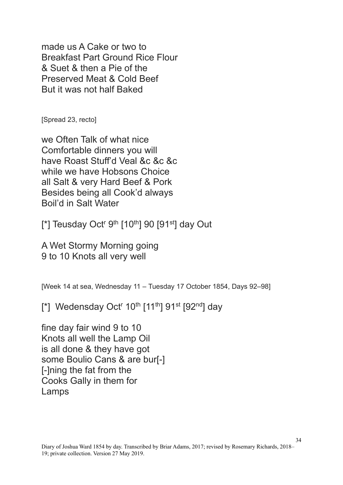made us A Cake or two to Breakfast Part Ground Rice Flour & Suet & then a Pie of the Preserved Meat & Cold Beef But it was not half Baked

[Spread 23, recto]

we Often Talk of what nice Comfortable dinners you will have Roast Stuff'd Veal &c &c &c while we have Hobsons Choice all Salt & very Hard Beef & Pork Besides being all Cook'd always Boil'd in Salt Water

[\*] Teusday Oct<sup>r gth</sup> [10<sup>th</sup>] 90 [91<sup>st</sup>] day Out

A Wet Stormy Morning going 9 to 10 Knots all very well

[Week 14 at sea, Wednesday 11 – Tuesday 17 October 1854, Days 92–98]

[\*] Wedensday Oct<sup>r</sup> 10<sup>th</sup> [11<sup>th</sup>] 91<sup>st</sup> [92<sup>nd</sup>] day

fine day fair wind 9 to 10 Knots all well the Lamp Oil is all done & they have got some Boulio Cans & are bur[-] [-]ning the fat from the Cooks Gally in them for Lamps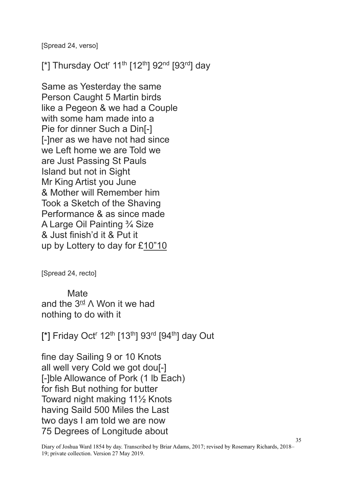[Spread 24, verso]

[\*] Thursday Oct<sup>r</sup> 11<sup>th</sup> [12<sup>th</sup>] 92<sup>nd</sup> [93<sup>rd</sup>] day

Same as Yesterday the same Person Caught 5 Martin birds like a Pegeon & we had a Couple with some ham made into a Pie for dinner Such a Din[-] [-]ner as we have not had since we Left home we are Told we are Just Passing St Pauls Island but not in Sight Mr King Artist you June & Mother will Remember him Took a Sketch of the Shaving Performance & as since made A Large Oil Painting ¾ Size & Just finish'd it & Put it up by Lottery to day for £10"10

[Spread 24, recto]

**Mate** and the  $3^{\text{rd}}$   $\wedge$  Won it we had nothing to do with it

[\*] Friday Oct<sup>r</sup> 12<sup>th</sup> [13<sup>th</sup>] 93<sup>rd</sup> [94<sup>th</sup>] day Out

fine day Sailing 9 or 10 Knots all well very Cold we got dou[-] [-]ble Allowance of Pork (1 lb Each) for fish But nothing for butter Toward night making 11½ Knots having Saild 500 Miles the Last two days I am told we are now 75 Degrees of Longitude about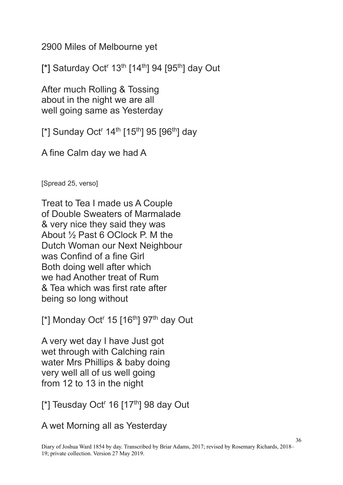2900 Miles of Melbourne yet

[\*] Saturday Oct<sup>r</sup> 13<sup>th</sup> [14<sup>th</sup>] 94 [95<sup>th</sup>] day Out

After much Rolling & Tossing about in the night we are all well going same as Yesterday

[\*] Sunday Oct<sup>r</sup> 14<sup>th</sup> [15<sup>th</sup>] 95 [96<sup>th</sup>] day

A fine Calm day we had A

[Spread 25, verso]

Treat to Tea I made us A Couple of Double Sweaters of Marmalade & very nice they said they was About ½ Past 6 OClock P. M the Dutch Woman our Next Neighbour was Confind of a fine Girl Both doing well after which we had Another treat of Rum & Tea which was first rate after being so long without

 $\lceil$ \*] Monday Oct<sup>r</sup> 15  $\lceil 16^{th} \rceil$  97<sup>th</sup> day Out

A very wet day I have Just got wet through with Calching rain water Mrs Phillips & baby doing very well all of us well going from 12 to 13 in the night

 $[$ \*] Teusday Oct<sup>r</sup> 16  $[17<sup>th</sup>]$  98 day Out

A wet Morning all as Yesterday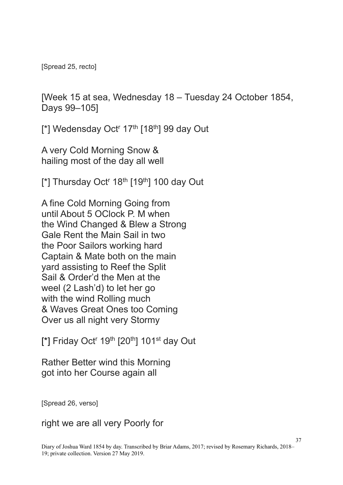[Spread 25, recto]

[Week 15 at sea, Wednesday 18 – Tuesday 24 October 1854, Days 99–105]

[\*] Wedensday Oct<sup>r</sup> 17<sup>th</sup> [18<sup>th</sup>] 99 day Out

A very Cold Morning Snow & hailing most of the day all well

[\*] Thursday Oct<sup>r</sup> 18<sup>th</sup> [19<sup>th</sup>] 100 day Out

A fine Cold Morning Going from until About 5 OClock P. M when the Wind Changed & Blew a Strong Gale Rent the Main Sail in two the Poor Sailors working hard Captain & Mate both on the main yard assisting to Reef the Split Sail & Order'd the Men at the weel (2 Lash'd) to let her go with the wind Rolling much & Waves Great Ones too Coming Over us all night very Stormy

 $[$ \*] Friday Oct<sup>r</sup> 19<sup>th</sup>  $[20<sup>th</sup>]$  101<sup>st</sup> day Out

Rather Better wind this Morning got into her Course again all

[Spread 26, verso]

right we are all very Poorly for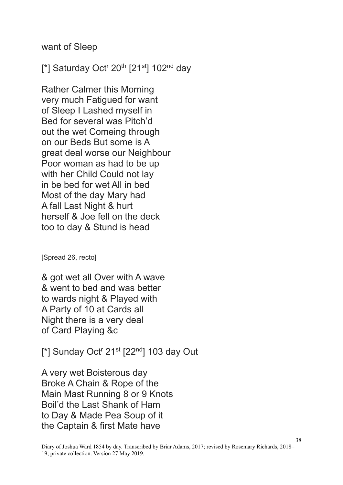want of Sleep

[\*] Saturday Oct<sup>r</sup> 20<sup>th</sup> [21<sup>st</sup>] 102<sup>nd</sup> day

Rather Calmer this Morning very much Fatigued for want of Sleep I Lashed myself in Bed for several was Pitch'd out the wet Comeing through on our Beds But some is A great deal worse our Neighbour Poor woman as had to be up with her Child Could not lay in be bed for wet All in bed Most of the day Mary had A fall Last Night & hurt herself & Joe fell on the deck too to day & Stund is head

[Spread 26, recto]

& got wet all Over with A wave & went to bed and was better to wards night & Played with A Party of 10 at Cards all Night there is a very deal of Card Playing &c

 $[$ \*] Sunday Oct<sup>r</sup> 21<sup>st</sup> [22<sup>nd</sup>] 103 day Out

A very wet Boisterous day Broke A Chain & Rope of the Main Mast Running 8 or 9 Knots Boil'd the Last Shank of Ham to Day & Made Pea Soup of it the Captain & first Mate have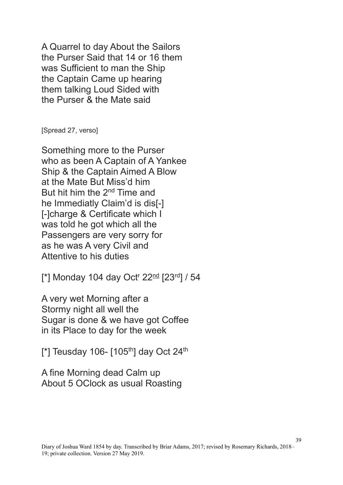A Quarrel to day About the Sailors the Purser Said that 14 or 16 them was Sufficient to man the Ship the Captain Came up hearing them talking Loud Sided with the Purser & the Mate said

[Spread 27, verso]

Something more to the Purser who as been A Captain of A Yankee Ship & the Captain Aimed A Blow at the Mate But Miss'd him But hit him the 2nd Time and he Immediatly Claim'd is dis[-] [-]charge & Certificate which I was told he got which all the Passengers are very sorry for as he was A very Civil and Attentive to his duties

[\*] Monday 104 day Oct<sup>r</sup> 22<sup>nd</sup> [23<sup>rd</sup>] / 54

A very wet Morning after a Stormy night all well the Sugar is done & we have got Coffee in its Place to day for the week

 $[$ \*] Teusday 106-  $[105<sup>th</sup>]$  day Oct 24<sup>th</sup>

A fine Morning dead Calm up About 5 OClock as usual Roasting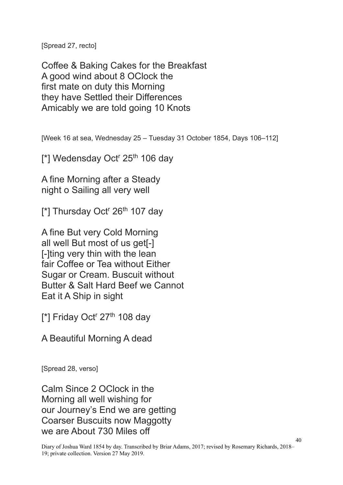[Spread 27, recto]

Coffee & Baking Cakes for the Breakfast A good wind about 8 OClock the first mate on duty this Morning they have Settled their Differences Amicably we are told going 10 Knots

[Week 16 at sea, Wednesday 25 – Tuesday 31 October 1854, Days 106–112]

[\*] Wedensday Oct<sup>r</sup> 25<sup>th</sup> 106 day

A fine Morning after a Steady night o Sailing all very well

[\*] Thursday Oct<sup>r</sup> 26<sup>th</sup> 107 day

A fine But very Cold Morning all well But most of us get[-] [-]ting very thin with the lean fair Coffee or Tea without Either Sugar or Cream. Buscuit without Butter & Salt Hard Beef we Cannot Eat it A Ship in sight

[\*] Friday Oct<sup>r</sup> 27<sup>th</sup> 108 day

A Beautiful Morning A dead

[Spread 28, verso]

Calm Since 2 OClock in the Morning all well wishing for our Journey's End we are getting Coarser Buscuits now Maggotty we are About 730 Miles off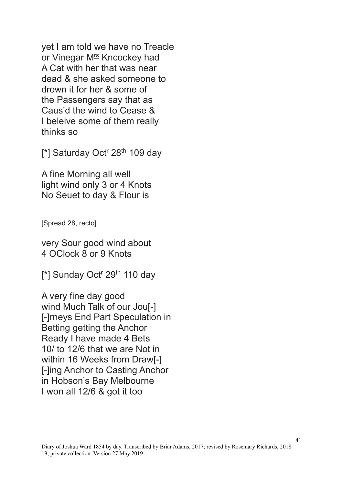yet I am told we have no Treacle or Vinegar M<sup>rs</sup> Kncockey had A Cat with her that was near dead & she asked someone to drown it for her & some of the Passengers say that as Caus'd the wind to Cease & I beleive some of them really thinks so

[\*] Saturday Oct<sup>r</sup> 28<sup>th</sup> 109 day

A fine Morning all well light wind only 3 or 4 Knots No Seuet to day & Flour is

[Spread 28, recto]

very Sour good wind about 4 OClock 8 or 9 Knots

 $[$ \*] Sunday Oct<sup>r</sup> 29<sup>th</sup> 110 day

A very fine day good wind Much Talk of our Joul-1 [-]rneys End Part Speculation in Betting getting the Anchor Ready I have made 4 Bets 10/ to 12/6 that we are Not in within 16 Weeks from Draw[-] [-]ing Anchor to Casting Anchor in Hobson's Bay Melbourne I won all 12/6 & got it too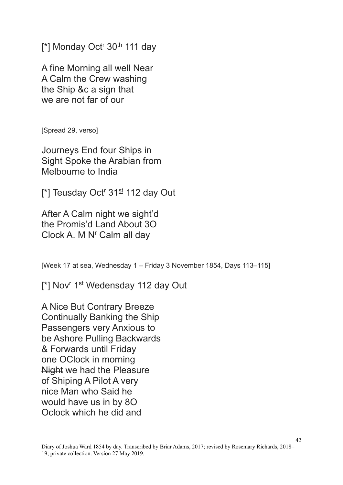[\*] Monday Oct<sup>r</sup> 30<sup>th</sup> 111 day

A fine Morning all well Near A Calm the Crew washing the Ship &c a sign that we are not far of our

[Spread 29, verso]

Journeys End four Ships in Sight Spoke the Arabian from Melbourne to India

[ $*$ ] Teusday Oct<sup>r</sup> 31<sup>st</sup> 112 day Out

After A Calm night we sight'd the Promis'd Land About 3O Clock A. M N' Calm all day

[Week 17 at sea, Wednesday 1 – Friday 3 November 1854, Days 113–115]

[\*] Nov<sup>r</sup> 1<sup>st</sup> Wedensday 112 day Out

A Nice But Contrary Breeze Continually Banking the Ship Passengers very Anxious to be Ashore Pulling Backwards & Forwards until Friday one OClock in morning Night we had the Pleasure of Shiping A Pilot A very nice Man who Said he would have us in by 8O Oclock which he did and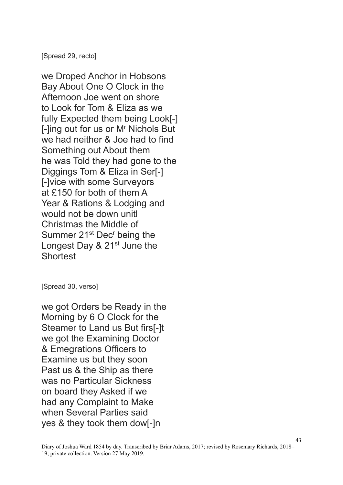[Spread 29, recto]

we Droped Anchor in Hobsons Bay About One O Clock in the Afternoon Joe went on shore to Look for Tom & Eliza as we fully Expected them being Look[-] [-]ing out for us or M<sup>r</sup> Nichols But we had neither & Joe had to find Something out About them he was Told they had gone to the Diggings Tom & Eliza in Ser[-] [-]vice with some Surveyors at £150 for both of them A Year & Rations & Lodging and would not be down unitl Christmas the Middle of Summer  $21<sup>st</sup>$  Dec<sup>r</sup> being the Longest Day & 21<sup>st</sup> June the **Shortest** 

[Spread 30, verso]

we got Orders be Ready in the Morning by 6 O Clock for the Steamer to Land us But firs[-]t we got the Examining Doctor & Emegrations Officers to Examine us but they soon Past us & the Ship as there was no Particular Sickness on board they Asked if we had any Complaint to Make when Several Parties said yes & they took them dow[-]n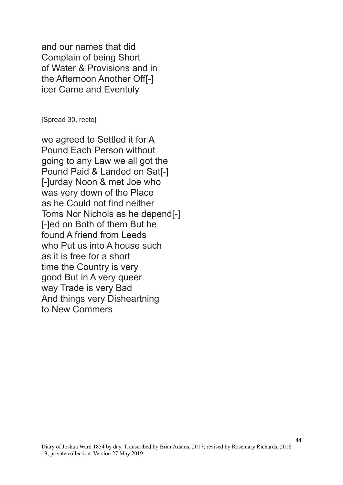and our names that did Complain of being Short of Water & Provisions and in the Afternoon Another Off[-] icer Came and Eventuly

[Spread 30, recto]

we agreed to Settled it for A Pound Each Person without going to any Law we all got the Pound Paid & Landed on Sat[-] [-]urday Noon & met Joe who was very down of the Place as he Could not find neither Toms Nor Nichols as he depend[-] [-]ed on Both of them But he found A friend from Leeds who Put us into A house such as it is free for a short time the Country is very good But in A very queer way Trade is very Bad And things very Disheartning to New Commers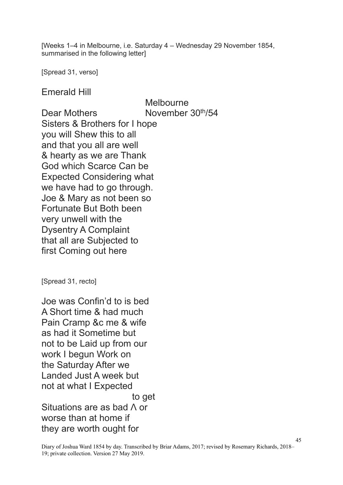[Weeks 1–4 in Melbourne, i.e. Saturday 4 – Wednesday 29 November 1854, summarised in the following letter]

[Spread 31, verso]

Emerald Hill

Melbourne Dear Mothers November 30<sup>th</sup>/54 Sisters & Brothers for I hope you will Shew this to all and that you all are well & hearty as we are Thank God which Scarce Can be Expected Considering what we have had to go through. Joe & Mary as not been so Fortunate But Both been very unwell with the Dysentry A Complaint that all are Subjected to first Coming out here

[Spread 31, recto]

Joe was Confin'd to is bed A Short time & had much Pain Cramp &c me & wife as had it Sometime but not to be Laid up from our work I begun Work on the Saturday After we Landed Just A week but not at what I Expected to get Situations are as bad  $\Lambda$  or worse than at home if they are worth ought for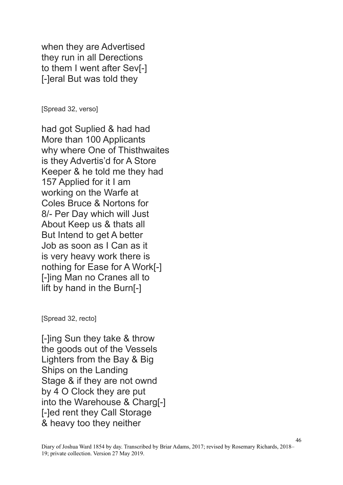when they are Advertised they run in all Derections to them I went after Sev[-] [-]eral But was told they

[Spread 32, verso]

had got Suplied & had had More than 100 Applicants why where One of Thisthwaites is they Advertis'd for A Store Keeper & he told me they had 157 Applied for it I am working on the Warfe at Coles Bruce & Nortons for 8/- Per Day which will Just About Keep us & thats all But Intend to get A better Job as soon as I Can as it is very heavy work there is nothing for Ease for A Work[-] [-]ing Man no Cranes all to lift by hand in the Burn[-]

[Spread 32, recto]

[-]ing Sun they take & throw the goods out of the Vessels Lighters from the Bay & Big Ships on the Landing Stage & if they are not ownd by 4 O Clock they are put into the Warehouse & Charg[-] [-]ed rent they Call Storage & heavy too they neither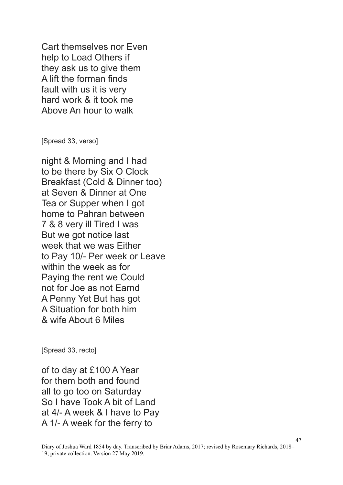Cart themselves nor Even help to Load Others if they ask us to give them A lift the forman finds fault with us it is very hard work & it took me Above An hour to walk

[Spread 33, verso]

night & Morning and I had to be there by Six O Clock Breakfast (Cold & Dinner too) at Seven & Dinner at One Tea or Supper when I got home to Pahran between 7 & 8 very ill Tired I was But we got notice last week that we was Either to Pay 10/- Per week or Leave within the week as for Paying the rent we Could not for Joe as not Earnd A Penny Yet But has got A Situation for both him & wife About 6 Miles

[Spread 33, recto]

of to day at £100 A Year for them both and found all to go too on Saturday So I have Took A bit of Land at 4/- A week & I have to Pay A 1/- A week for the ferry to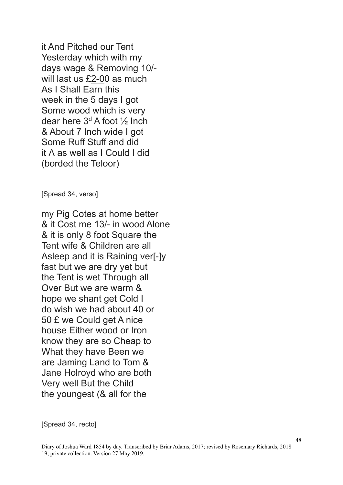it And Pitched our Tent Yesterday which with my days wage & Removing 10/ will last us £2-00 as much As I Shall Earn this week in the 5 days I got Some wood which is very dear here  $3<sup>d</sup>$  A foot  $\frac{1}{2}$  Inch & About 7 Inch wide I got Some Ruff Stuff and did it  $\Lambda$  as well as I Could I did (borded the Teloor)

[Spread 34, verso]

my Pig Cotes at home better & it Cost me 13/- in wood Alone & it is only 8 foot Square the Tent wife & Children are all Asleep and it is Raining ver[-]y fast but we are dry yet but the Tent is wet Through all Over But we are warm & hope we shant get Cold I do wish we had about 40 or 50 £ we Could get A nice house Either wood or Iron know they are so Cheap to What they have Been we are Jaming Land to Tom & Jane Holroyd who are both Very well But the Child the youngest (& all for the

[Spread 34, recto]

48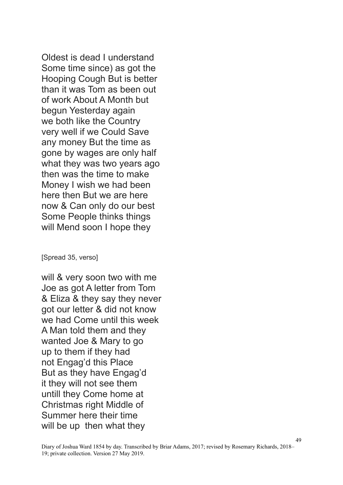Oldest is dead I understand Some time since) as got the Hooping Cough But is better than it was Tom as been out of work About A Month but begun Yesterday again we both like the Country very well if we Could Save any money But the time as gone by wages are only half what they was two years ago then was the time to make Money I wish we had been here then But we are here now & Can only do our best Some People thinks things will Mend soon I hope they

## [Spread 35, verso]

will & very soon two with me Joe as got A letter from Tom & Eliza & they say they never got our letter & did not know we had Come until this week A Man told them and they wanted Joe & Mary to go up to them if they had not Engag'd this Place But as they have Engag'd it they will not see them untill they Come home at Christmas right Middle of Summer here their time will be up then what they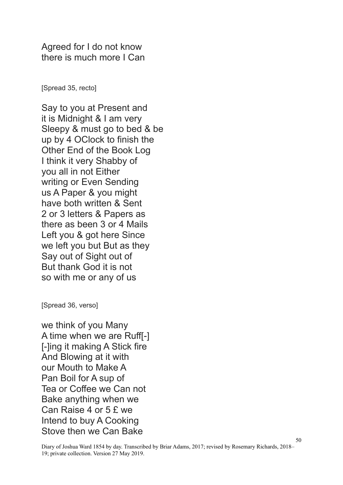Agreed for I do not know there is much more I Can

[Spread 35, recto]

Say to you at Present and it is Midnight & I am very Sleepy & must go to bed & be up by 4 OClock to finish the Other End of the Book Log I think it very Shabby of you all in not Either writing or Even Sending us A Paper & you might have both written & Sent 2 or 3 letters & Papers as there as been 3 or 4 Mails Left you & got here Since we left you but But as they Say out of Sight out of But thank God it is not so with me or any of us

[Spread 36, verso]

we think of you Many A time when we are Ruff[-] [-]ing it making A Stick fire And Blowing at it with our Mouth to Make A Pan Boil for A sup of Tea or Coffee we Can not Bake anything when we Can Raise 4 or 5 £ we Intend to buy A Cooking Stove then we Can Bake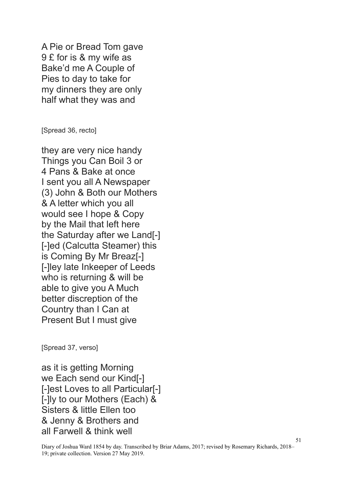A Pie or Bread Tom gave 9 £ for is & my wife as Bake'd me A Couple of Pies to day to take for my dinners they are only half what they was and

[Spread 36, recto]

they are very nice handy Things you Can Boil 3 or 4 Pans & Bake at once I sent you all A Newspaper (3) John & Both our Mothers & A letter which you all would see I hope & Copy by the Mail that left here the Saturday after we Land[-] [-]ed (Calcutta Steamer) this is Coming By Mr Breaz[-] [-]ley late Inkeeper of Leeds who is returning & will be able to give you A Much better discreption of the Country than I Can at Present But I must give

[Spread 37, verso]

as it is getting Morning we Each send our Kind[-] [-]est Loves to all Particular[-] [-]ly to our Mothers (Each) & Sisters & little Ellen too & Jenny & Brothers and all Farwell & think well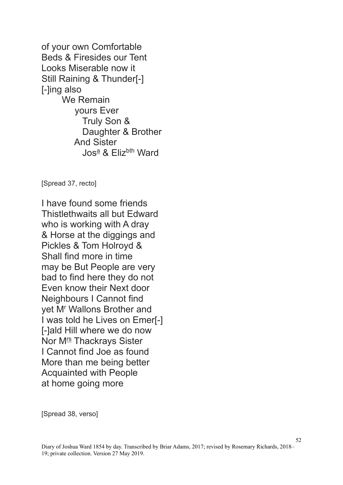of your own Comfortable Beds & Firesides our Tent Looks Miserable now it Still Raining & Thunder[-] [-]ing also We Remain yours Ever Truly Son & Daughter & Brother And Sister Jos<sup>a</sup> & Elizbth Ward

[Spread 37, recto]

I have found some friends Thistlethwaits all but Edward who is working with A dray & Horse at the diggings and Pickles & Tom Holroyd & Shall find more in time may be But People are very bad to find here they do not Even know their Next door Neighbours I Cannot find yet M<sup>r</sup> Wallons Brother and I was told he Lives on Emer[-] [-]ald Hill where we do now Nor M<sup>rs</sup> Thackrays Sister I Cannot find Joe as found More than me being better Acquainted with People at home going more

[Spread 38, verso]

52